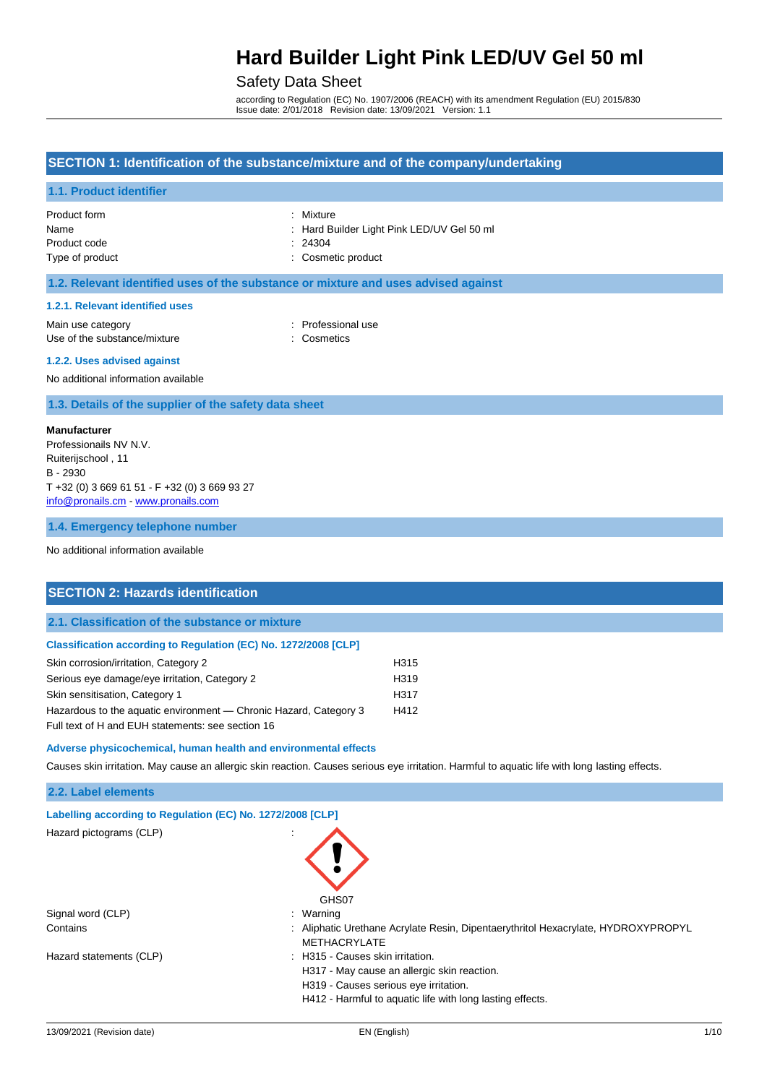## Safety Data Sheet

according to Regulation (EC) No. 1907/2006 (REACH) with its amendment Regulation (EU) 2015/830 Issue date: 2/01/2018 Revision date: 13/09/2021 Version: 1.1

## **SECTION 1: Identification of the substance/mixture and of the company/undertaking**

## **1.1. Product identifier**

| Product form    | : Mixture                                  |
|-----------------|--------------------------------------------|
| Name            | : Hard Builder Light Pink LED/UV Gel 50 ml |
| Product code    | : 24304                                    |
| Type of product | : Cosmetic product                         |

## **1.2. Relevant identified uses of the substance or mixture and uses advised against**

#### **1.2.1. Relevant identified uses**

Main use category **intervalled** and the category of the category of the category of the category of the category Use of the substance/mixture : Cosmetics

#### **1.2.2. Uses advised against**

No additional information available

**1.3. Details of the supplier of the safety data sheet**

#### **Manufacturer**

Professionails NV N.V. Ruiterijschool , 11 B - 2930 T +32 (0) 3 669 61 51 - F +32 (0) 3 669 93 27 [info@pronails.cm](mailto:info@pronails.cm) - [www.pronails.com](http://www.pronails.com/)

#### **1.4. Emergency telephone number**

No additional information available

### **SECTION 2: Hazards identification**

#### **2.1. Classification of the substance or mixture**

#### **Classification according to Regulation (EC) No. 1272/2008 [CLP]**

| Skin corrosion/irritation, Category 2                             | H315 |
|-------------------------------------------------------------------|------|
| Serious eye damage/eye irritation, Category 2                     | H319 |
| Skin sensitisation, Category 1                                    | H317 |
| Hazardous to the aquatic environment — Chronic Hazard, Category 3 | H412 |
| Full text of H and EUH statements: see section 16                 |      |

#### **Adverse physicochemical, human health and environmental effects**

Causes skin irritation. May cause an allergic skin reaction. Causes serious eye irritation. Harmful to aquatic life with long lasting effects.

### **2.2. Label elements**

| Labelling according to Regulation (EC) No. 1272/2008 [CLP] |                                                                                                        |
|------------------------------------------------------------|--------------------------------------------------------------------------------------------------------|
| Hazard pictograms (CLP)                                    | $\blacksquare$<br>GHS07                                                                                |
| Signal word (CLP)                                          | Warning                                                                                                |
| Contains                                                   | Aliphatic Urethane Acrylate Resin, Dipentaerythritol Hexacrylate, HYDROXYPROPYL<br><b>METHACRYLATE</b> |
| Hazard statements (CLP)                                    | : H315 - Causes skin irritation.                                                                       |
|                                                            | H317 - May cause an allergic skin reaction.                                                            |
|                                                            | H319 - Causes serious eye irritation.                                                                  |
|                                                            | H412 - Harmful to aquatic life with long lasting effects.                                              |
|                                                            |                                                                                                        |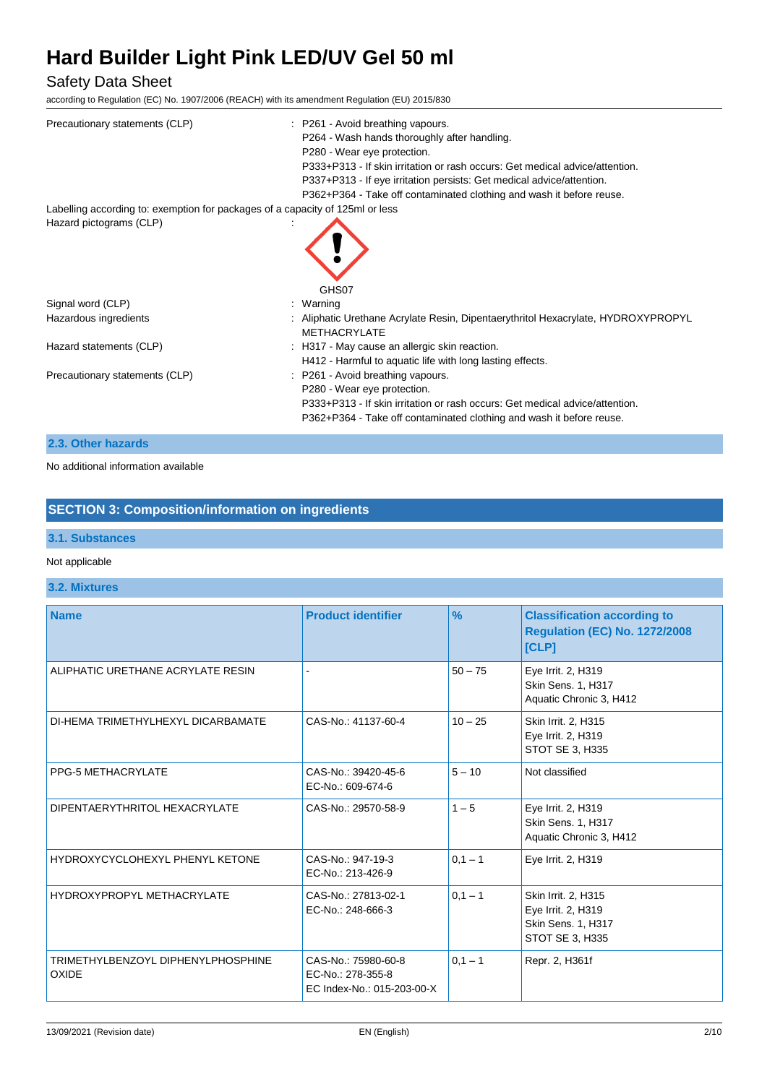## Safety Data Sheet

according to Regulation (EC) No. 1907/2006 (REACH) with its amendment Regulation (EU) 2015/830

| Precautionary statements (CLP)                                                | : P261 - Avoid breathing vapours.<br>P264 - Wash hands thoroughly after handling.<br>P280 - Wear eye protection.<br>P333+P313 - If skin irritation or rash occurs: Get medical advice/attention.<br>P337+P313 - If eye irritation persists: Get medical advice/attention.<br>P362+P364 - Take off contaminated clothing and wash it before reuse. |
|-------------------------------------------------------------------------------|---------------------------------------------------------------------------------------------------------------------------------------------------------------------------------------------------------------------------------------------------------------------------------------------------------------------------------------------------|
| Labelling according to: exemption for packages of a capacity of 125ml or less |                                                                                                                                                                                                                                                                                                                                                   |
| Hazard pictograms (CLP)                                                       |                                                                                                                                                                                                                                                                                                                                                   |
| Signal word (CLP)                                                             | GHS07<br>: Warning                                                                                                                                                                                                                                                                                                                                |
| Hazardous ingredients                                                         | : Aliphatic Urethane Acrylate Resin, Dipentaerythritol Hexacrylate, HYDROXYPROPYL<br><b>METHACRYLATE</b>                                                                                                                                                                                                                                          |
| Hazard statements (CLP)                                                       | : H317 - May cause an allergic skin reaction.<br>H412 - Harmful to aquatic life with long lasting effects.                                                                                                                                                                                                                                        |
| Precautionary statements (CLP)                                                | : P261 - Avoid breathing vapours.<br>P280 - Wear eye protection.<br>P333+P313 - If skin irritation or rash occurs: Get medical advice/attention.<br>P362+P364 - Take off contaminated clothing and wash it before reuse.                                                                                                                          |

## **2.3. Other hazards**

No additional information available

## **SECTION 3: Composition/information on ingredients**

## **3.1. Substances**

## Not applicable

## **3.2. Mixtures**

| <b>Name</b>                                 | <b>Product identifier</b>                                              | $\frac{9}{6}$ | <b>Classification according to</b><br><b>Regulation (EC) No. 1272/2008</b><br>[CLP] |
|---------------------------------------------|------------------------------------------------------------------------|---------------|-------------------------------------------------------------------------------------|
| ALIPHATIC URETHANE ACRYLATE RESIN           |                                                                        | $50 - 75$     | Eye Irrit. 2, H319<br>Skin Sens. 1, H317<br>Aquatic Chronic 3, H412                 |
| DI-HEMA TRIMETHYLHEXYL DICARBAMATE          | CAS-No.: 41137-60-4                                                    | $10 - 25$     | Skin Irrit. 2, H315<br>Eye Irrit. 2, H319<br>STOT SE 3, H335                        |
| <b>PPG-5 METHACRYLATE</b>                   | CAS-No.: 39420-45-6<br>EC-No.: 609-674-6                               | $5 - 10$      | Not classified                                                                      |
| DIPENTAERYTHRITOL HEXACRYLATE               | CAS-No.: 29570-58-9                                                    | $1 - 5$       | Eye Irrit. 2, H319<br>Skin Sens. 1, H317<br>Aquatic Chronic 3, H412                 |
| HYDROXYCYCLOHEXYL PHENYL KETONE             | CAS-No.: 947-19-3<br>EC-No.: 213-426-9                                 | $0,1 - 1$     | Eye Irrit. 2, H319                                                                  |
| <b>HYDROXYPROPYL METHACRYLATE</b>           | CAS-No.: 27813-02-1<br>EC-No.: 248-666-3                               | $0.1 - 1$     | Skin Irrit. 2, H315<br>Eye Irrit. 2, H319<br>Skin Sens. 1, H317<br>STOT SE 3, H335  |
| TRIMETHYLBENZOYL DIPHENYLPHOSPHINE<br>OXIDE | CAS-No.: 75980-60-8<br>EC-No.: 278-355-8<br>EC Index-No.: 015-203-00-X | $0,1 - 1$     | Repr. 2, H361f                                                                      |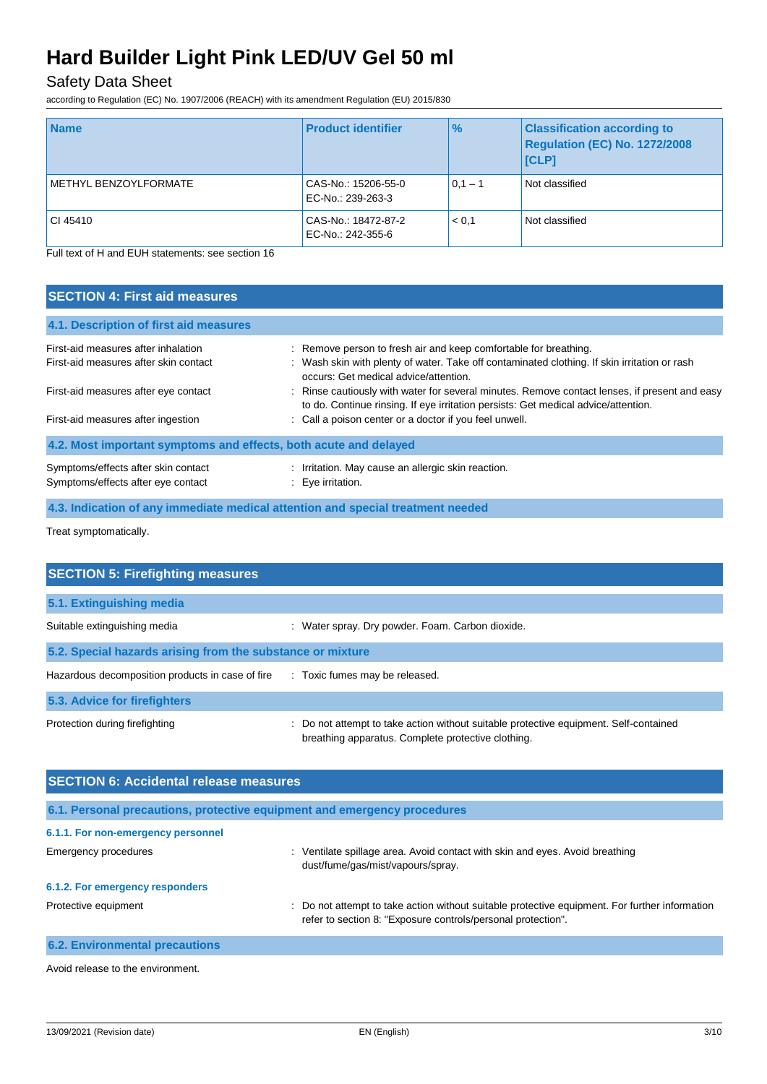## Safety Data Sheet

according to Regulation (EC) No. 1907/2006 (REACH) with its amendment Regulation (EU) 2015/830

| <b>Name</b>           | <b>Product identifier</b>                | $\frac{9}{6}$ | <b>Classification according to</b><br>Regulation (EC) No. 1272/2008<br>[CLP] |
|-----------------------|------------------------------------------|---------------|------------------------------------------------------------------------------|
| METHYL BENZOYLFORMATE | CAS-No.: 15206-55-0<br>EC-No.: 239-263-3 | $0,1 - 1$     | Not classified                                                               |
| CI 45410              | CAS-No.: 18472-87-2<br>EC-No.: 242-355-6 | < 0.1         | Not classified                                                               |

Full text of H and EUH statements: see section 16

| <b>SECTION 4: First aid measures</b>                                      |                                                                                                                                                                                     |
|---------------------------------------------------------------------------|-------------------------------------------------------------------------------------------------------------------------------------------------------------------------------------|
| 4.1. Description of first aid measures                                    |                                                                                                                                                                                     |
| First-aid measures after inhalation                                       | : Remove person to fresh air and keep comfortable for breathing.                                                                                                                    |
| First-aid measures after skin contact                                     | : Wash skin with plenty of water. Take off contaminated clothing. If skin irritation or rash<br>occurs: Get medical advice/attention.                                               |
| First-aid measures after eye contact                                      | : Rinse cautiously with water for several minutes. Remove contact lenses, if present and easy<br>to do. Continue rinsing. If eye irritation persists: Get medical advice/attention. |
| First-aid measures after ingestion                                        | : Call a poison center or a doctor if you feel unwell.                                                                                                                              |
| 4.2. Most important symptoms and effects, both acute and delayed          |                                                                                                                                                                                     |
| Symptoms/effects after skin contact<br>Symptoms/effects after eye contact | Irritation. May cause an allergic skin reaction.<br>: Eve irritation.                                                                                                               |

**4.3. Indication of any immediate medical attention and special treatment needed**

Treat symptomatically.

| <b>SECTION 5: Firefighting measures</b>                    |                                                                                                                                             |
|------------------------------------------------------------|---------------------------------------------------------------------------------------------------------------------------------------------|
| 5.1. Extinguishing media                                   |                                                                                                                                             |
| Suitable extinguishing media                               | : Water spray. Dry powder. Foam. Carbon dioxide.                                                                                            |
| 5.2. Special hazards arising from the substance or mixture |                                                                                                                                             |
| Hazardous decomposition products in case of fire           | : Toxic fumes may be released.                                                                                                              |
| 5.3. Advice for firefighters                               |                                                                                                                                             |
| Protection during firefighting                             | : Do not attempt to take action without suitable protective equipment. Self-contained<br>breathing apparatus. Complete protective clothing. |

| <b>SECTION 6: Accidental release measures</b> |                                                                                                                                                                |  |  |  |
|-----------------------------------------------|----------------------------------------------------------------------------------------------------------------------------------------------------------------|--|--|--|
|                                               | 6.1. Personal precautions, protective equipment and emergency procedures                                                                                       |  |  |  |
| 6.1.1. For non-emergency personnel            |                                                                                                                                                                |  |  |  |
| <b>Emergency procedures</b>                   | Ventilate spillage area. Avoid contact with skin and eyes. Avoid breathing<br>÷<br>dust/fume/gas/mist/vapours/spray.                                           |  |  |  |
| 6.1.2. For emergency responders               |                                                                                                                                                                |  |  |  |
| Protective equipment                          | : Do not attempt to take action without suitable protective equipment. For further information<br>refer to section 8: "Exposure controls/personal protection". |  |  |  |
| <b>6.2. Environmental precautions</b>         |                                                                                                                                                                |  |  |  |

Avoid release to the environment.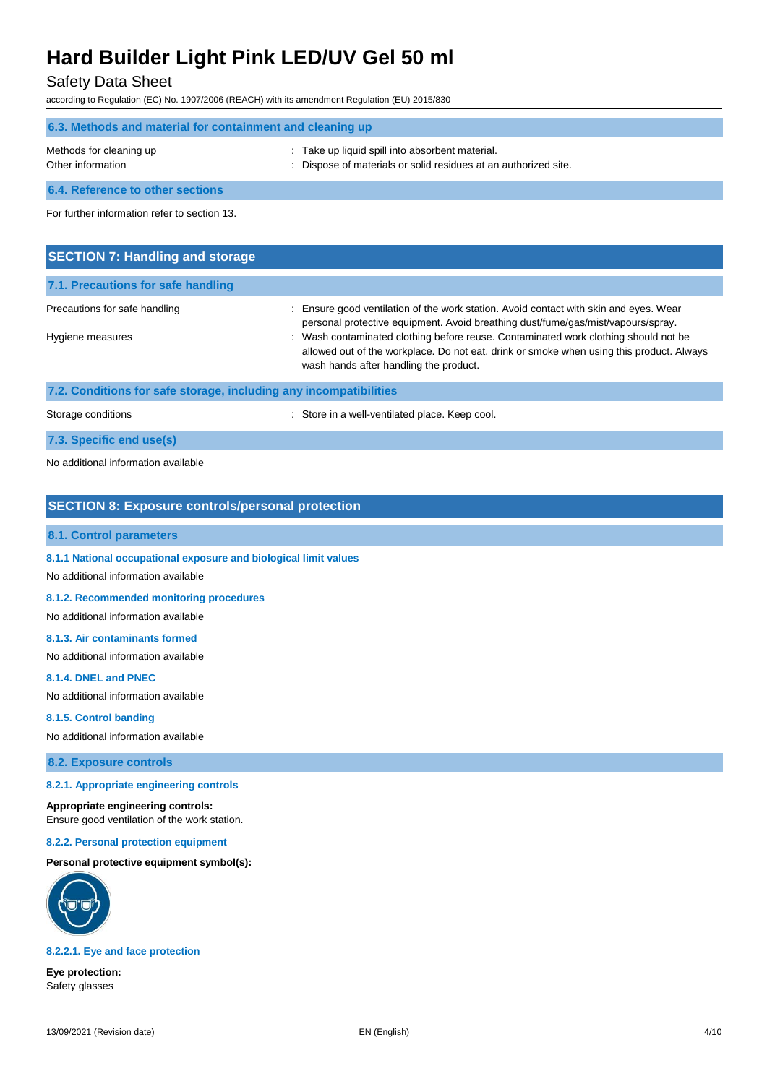## Safety Data Sheet

according to Regulation (EC) No. 1907/2006 (REACH) with its amendment Regulation (EU) 2015/830

| 6.3. Methods and material for containment and cleaning up |                                                                                                                    |  |  |
|-----------------------------------------------------------|--------------------------------------------------------------------------------------------------------------------|--|--|
| Methods for cleaning up<br>Other information              | : Take up liquid spill into absorbent material.<br>: Dispose of materials or solid residues at an authorized site. |  |  |
| 6.4. Reference to other sections                          |                                                                                                                    |  |  |

For further information refer to section 13.

| <b>SECTION 7: Handling and storage</b> |                                                                                                                                                                                                                           |
|----------------------------------------|---------------------------------------------------------------------------------------------------------------------------------------------------------------------------------------------------------------------------|
| 7.1. Precautions for safe handling     |                                                                                                                                                                                                                           |
| Precautions for safe handling          | : Ensure good ventilation of the work station. Avoid contact with skin and eyes. Wear<br>personal protective equipment. Avoid breathing dust/fume/gas/mist/vapours/spray.                                                 |
| Hygiene measures                       | : Wash contaminated clothing before reuse. Contaminated work clothing should not be<br>allowed out of the workplace. Do not eat, drink or smoke when using this product. Always<br>wash hands after handling the product. |

**7.2. Conditions for safe storage, including any incompatibilities**

Storage conditions **Storage conditions** : Store in a well-ventilated place. Keep cool.

**7.3. Specific end use(s)**

No additional information available

### **SECTION 8: Exposure controls/personal protection**

## **8.1. Control parameters**

**8.1.1 National occupational exposure and biological limit values**

No additional information available

#### **8.1.2. Recommended monitoring procedures**

No additional information available

#### **8.1.3. Air contaminants formed**

No additional information available

#### **8.1.4. DNEL and PNEC**

No additional information available

### **8.1.5. Control banding**

No additional information available

**8.2. Exposure controls**

#### **8.2.1. Appropriate engineering controls**

#### **Appropriate engineering controls:**

Ensure good ventilation of the work station.

**8.2.2. Personal protection equipment**

#### **Personal protective equipment symbol(s):**



### **8.2.2.1. Eye and face protection**

**Eye protection:** Safety glasses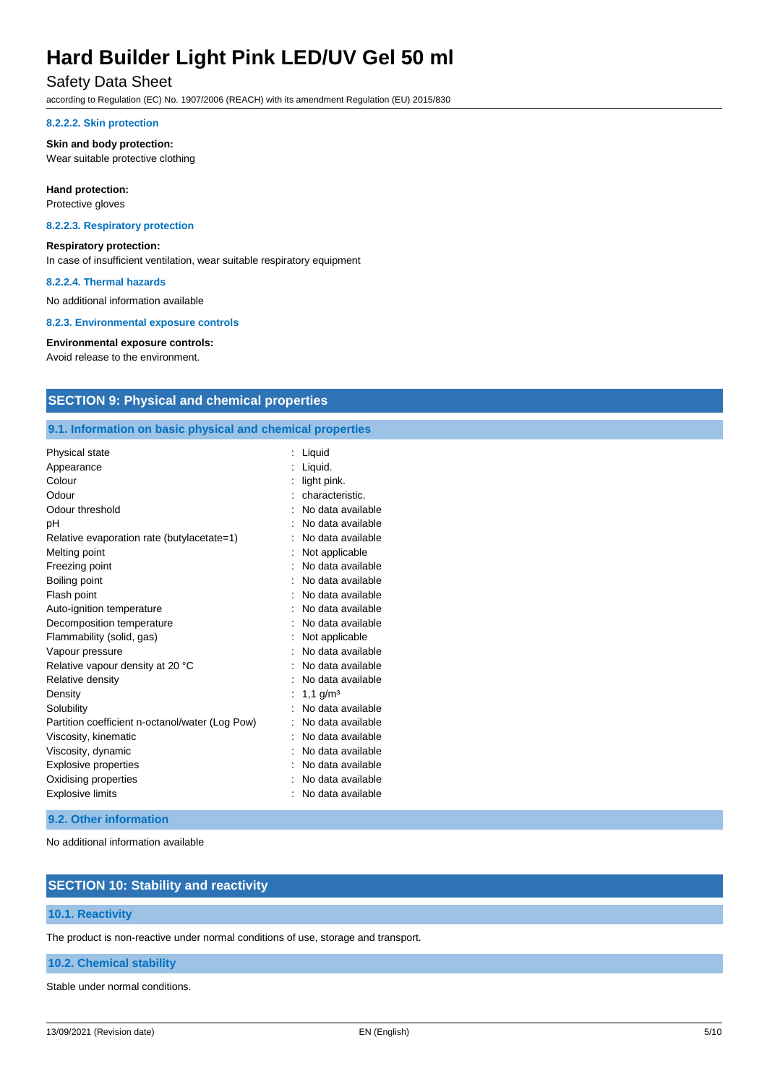## Safety Data Sheet

according to Regulation (EC) No. 1907/2006 (REACH) with its amendment Regulation (EU) 2015/830

#### **8.2.2.2. Skin protection**

#### **Skin and body protection:**

Wear suitable protective clothing

#### **Hand protection:**

Protective gloves

#### **8.2.2.3. Respiratory protection**

#### **Respiratory protection:**

In case of insufficient ventilation, wear suitable respiratory equipment

#### **8.2.2.4. Thermal hazards**

No additional information available

**8.2.3. Environmental exposure controls**

#### **Environmental exposure controls:**

Avoid release to the environment.

## **SECTION 9: Physical and chemical properties**

## **9.1. Information on basic physical and chemical properties**

| Physical state                                  | Liquid                 |
|-------------------------------------------------|------------------------|
| Appearance                                      | Liquid.                |
| Colour                                          | light pink.            |
| Odour                                           | characteristic.        |
| Odour threshold                                 | No data available      |
| рH                                              | No data available      |
| Relative evaporation rate (butylacetate=1)      | No data available      |
| Melting point                                   | Not applicable         |
| Freezing point                                  | No data available      |
| Boiling point                                   | No data available      |
| Flash point                                     | No data available      |
| Auto-ignition temperature                       | No data available      |
| Decomposition temperature                       | No data available      |
| Flammability (solid, gas)                       | Not applicable         |
| Vapour pressure                                 | No data available      |
| Relative vapour density at 20 °C                | No data available      |
| Relative density                                | No data available      |
| Density                                         | $1,1$ g/m <sup>3</sup> |
| Solubility                                      | No data available      |
| Partition coefficient n-octanol/water (Log Pow) | No data available      |
| Viscosity, kinematic                            | No data available      |
| Viscosity, dynamic                              | No data available      |
| <b>Explosive properties</b>                     | No data available      |
| Oxidising properties                            | No data available      |
| <b>Explosive limits</b>                         | No data available      |

#### **9.2. Other information**

No additional information available

## **SECTION 10: Stability and reactivity**

#### **10.1. Reactivity**

The product is non-reactive under normal conditions of use, storage and transport.

### **10.2. Chemical stability**

Stable under normal conditions.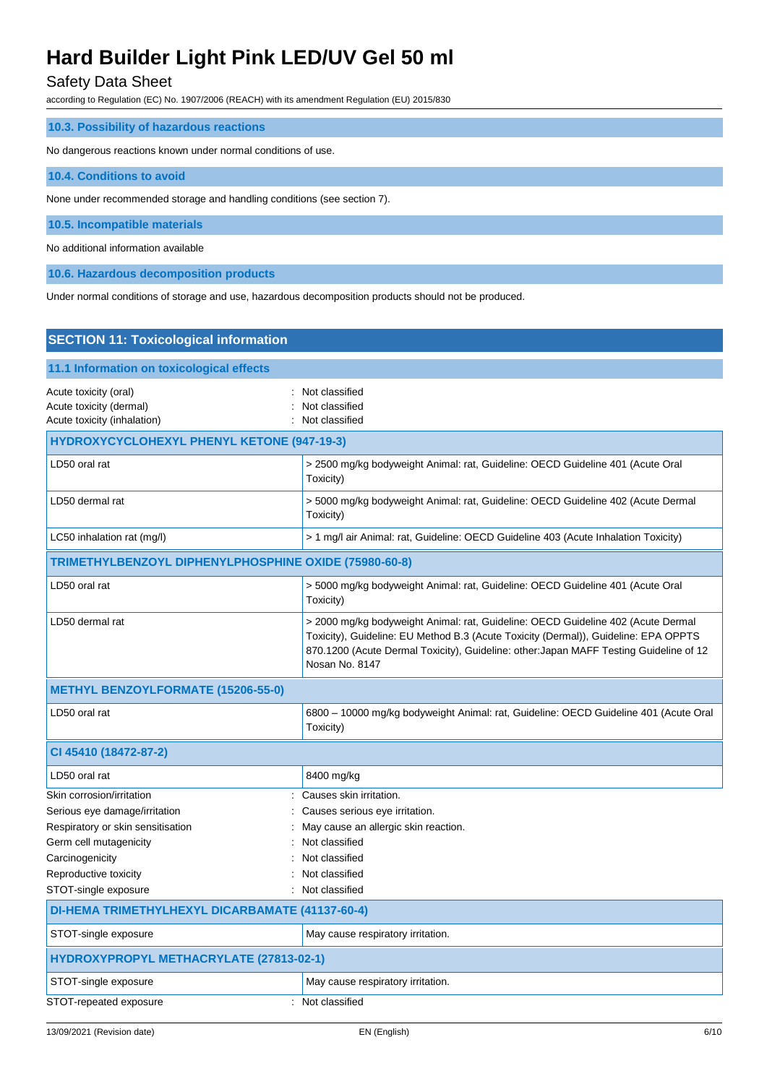## Safety Data Sheet

according to Regulation (EC) No. 1907/2006 (REACH) with its amendment Regulation (EU) 2015/830

| 10.3. Possibility of hazardous reactions                                |
|-------------------------------------------------------------------------|
| No dangerous reactions known under normal conditions of use.            |
| 10.4. Conditions to avoid                                               |
| None under recommended storage and handling conditions (see section 7). |
| 10.5. Incompatible materials                                            |
| No additional information available                                     |
| 10.6. Hazardous decomposition products                                  |

Under normal conditions of storage and use, hazardous decomposition products should not be produced.

| <b>SECTION 11: Toxicological information</b>                                    |                                                                                                                                                                                                                                                                                     |  |
|---------------------------------------------------------------------------------|-------------------------------------------------------------------------------------------------------------------------------------------------------------------------------------------------------------------------------------------------------------------------------------|--|
| 11.1 Information on toxicological effects                                       |                                                                                                                                                                                                                                                                                     |  |
| Acute toxicity (oral)<br>Acute toxicity (dermal)<br>Acute toxicity (inhalation) | Not classified<br>Not classified<br>Not classified                                                                                                                                                                                                                                  |  |
| <b>HYDROXYCYCLOHEXYL PHENYL KETONE (947-19-3)</b>                               |                                                                                                                                                                                                                                                                                     |  |
| LD50 oral rat                                                                   | > 2500 mg/kg bodyweight Animal: rat, Guideline: OECD Guideline 401 (Acute Oral<br>Toxicity)                                                                                                                                                                                         |  |
| LD50 dermal rat                                                                 | > 5000 mg/kg bodyweight Animal: rat, Guideline: OECD Guideline 402 (Acute Dermal<br>Toxicity)                                                                                                                                                                                       |  |
| LC50 inhalation rat (mg/l)                                                      | > 1 mg/l air Animal: rat, Guideline: OECD Guideline 403 (Acute Inhalation Toxicity)                                                                                                                                                                                                 |  |
| TRIMETHYLBENZOYL DIPHENYLPHOSPHINE OXIDE (75980-60-8)                           |                                                                                                                                                                                                                                                                                     |  |
| LD50 oral rat                                                                   | > 5000 mg/kg bodyweight Animal: rat, Guideline: OECD Guideline 401 (Acute Oral<br>Toxicity)                                                                                                                                                                                         |  |
| LD50 dermal rat                                                                 | > 2000 mg/kg bodyweight Animal: rat, Guideline: OECD Guideline 402 (Acute Dermal<br>Toxicity), Guideline: EU Method B.3 (Acute Toxicity (Dermal)), Guideline: EPA OPPTS<br>870.1200 (Acute Dermal Toxicity), Guideline: other: Japan MAFF Testing Guideline of 12<br>Nosan No. 8147 |  |
| <b>METHYL BENZOYLFORMATE (15206-55-0)</b>                                       |                                                                                                                                                                                                                                                                                     |  |
| LD50 oral rat                                                                   | 6800 - 10000 mg/kg bodyweight Animal: rat, Guideline: OECD Guideline 401 (Acute Oral<br>Toxicity)                                                                                                                                                                                   |  |
| CI 45410 (18472-87-2)                                                           |                                                                                                                                                                                                                                                                                     |  |
| LD50 oral rat                                                                   | 8400 mg/kg                                                                                                                                                                                                                                                                          |  |
| Skin corrosion/irritation<br>Serious eye damage/irritation                      | Causes skin irritation.<br>Causes serious eye irritation.                                                                                                                                                                                                                           |  |
| Respiratory or skin sensitisation                                               | May cause an allergic skin reaction.                                                                                                                                                                                                                                                |  |
| Germ cell mutagenicity                                                          | Not classified                                                                                                                                                                                                                                                                      |  |
| Carcinogenicity                                                                 | Not classified                                                                                                                                                                                                                                                                      |  |
| Reproductive toxicity                                                           | Not classified                                                                                                                                                                                                                                                                      |  |
| STOT-single exposure                                                            | Not classified                                                                                                                                                                                                                                                                      |  |
| DI-HEMA TRIMETHYLHEXYL DICARBAMATE (41137-60-4)                                 |                                                                                                                                                                                                                                                                                     |  |
| STOT-single exposure                                                            | May cause respiratory irritation.                                                                                                                                                                                                                                                   |  |
| HYDROXYPROPYL METHACRYLATE (27813-02-1)                                         |                                                                                                                                                                                                                                                                                     |  |
| STOT-single exposure                                                            | May cause respiratory irritation.                                                                                                                                                                                                                                                   |  |
| STOT-repeated exposure                                                          | Not classified                                                                                                                                                                                                                                                                      |  |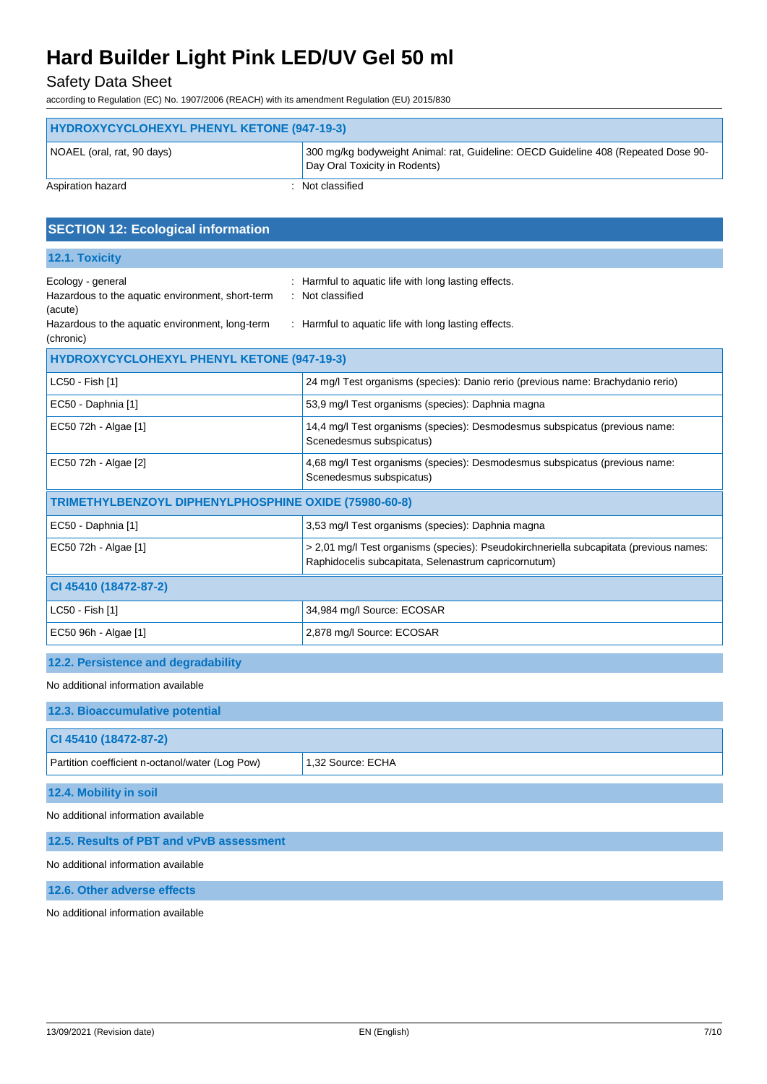## Safety Data Sheet

according to Regulation (EC) No. 1907/2006 (REACH) with its amendment Regulation (EU) 2015/830

| HYDROXYCYCLOHEXYL PHENYL KETONE (947-19-3)                                                                                          |                                                                                                                                                |  |
|-------------------------------------------------------------------------------------------------------------------------------------|------------------------------------------------------------------------------------------------------------------------------------------------|--|
| NOAEL (oral, rat, 90 days)                                                                                                          | 300 mg/kg bodyweight Animal: rat, Guideline: OECD Guideline 408 (Repeated Dose 90-<br>Day Oral Toxicity in Rodents)                            |  |
| Aspiration hazard                                                                                                                   | Not classified                                                                                                                                 |  |
| <b>SECTION 12: Ecological information</b>                                                                                           |                                                                                                                                                |  |
| 12.1. Toxicity                                                                                                                      |                                                                                                                                                |  |
| Ecology - general<br>Hazardous to the aquatic environment, short-term<br>(acute)<br>Hazardous to the aquatic environment, long-term | Harmful to aquatic life with long lasting effects.<br>Not classified<br>: Harmful to aquatic life with long lasting effects.                   |  |
| (chronic)                                                                                                                           |                                                                                                                                                |  |
| HYDROXYCYCLOHEXYL PHENYL KETONE (947-19-3)                                                                                          |                                                                                                                                                |  |
| LC50 - Fish [1]                                                                                                                     | 24 mg/l Test organisms (species): Danio rerio (previous name: Brachydanio rerio)                                                               |  |
| EC50 - Daphnia [1]                                                                                                                  | 53,9 mg/l Test organisms (species): Daphnia magna                                                                                              |  |
| EC50 72h - Algae [1]                                                                                                                | 14,4 mg/l Test organisms (species): Desmodesmus subspicatus (previous name:<br>Scenedesmus subspicatus)                                        |  |
| EC50 72h - Algae [2]                                                                                                                | 4,68 mg/l Test organisms (species): Desmodesmus subspicatus (previous name:<br>Scenedesmus subspicatus)                                        |  |
| TRIMETHYLBENZOYL DIPHENYLPHOSPHINE OXIDE (75980-60-8)                                                                               |                                                                                                                                                |  |
| EC50 - Daphnia [1]                                                                                                                  | 3,53 mg/l Test organisms (species): Daphnia magna                                                                                              |  |
| EC50 72h - Algae [1]                                                                                                                | > 2,01 mg/l Test organisms (species): Pseudokirchneriella subcapitata (previous names:<br>Raphidocelis subcapitata, Selenastrum capricornutum) |  |
| CI 45410 (18472-87-2)                                                                                                               |                                                                                                                                                |  |
| LC50 - Fish [1]                                                                                                                     | 34,984 mg/l Source: ECOSAR                                                                                                                     |  |
| EC50 96h - Algae [1]                                                                                                                | 2,878 mg/l Source: ECOSAR                                                                                                                      |  |
| 12.2. Persistence and degradability                                                                                                 |                                                                                                                                                |  |
| No additional information available                                                                                                 |                                                                                                                                                |  |
| 12.3. Bioaccumulative potential                                                                                                     |                                                                                                                                                |  |
| CI 45410 (18472-87-2)                                                                                                               |                                                                                                                                                |  |
| Partition coefficient n-octanol/water (Log Pow)                                                                                     | 1,32 Source: ECHA                                                                                                                              |  |
| 12.4. Mobility in soil                                                                                                              |                                                                                                                                                |  |
| No additional information available                                                                                                 |                                                                                                                                                |  |
| 12.5. Results of PBT and vPvB assessment                                                                                            |                                                                                                                                                |  |

No additional information available

**12.6. Other adverse effects**

No additional information available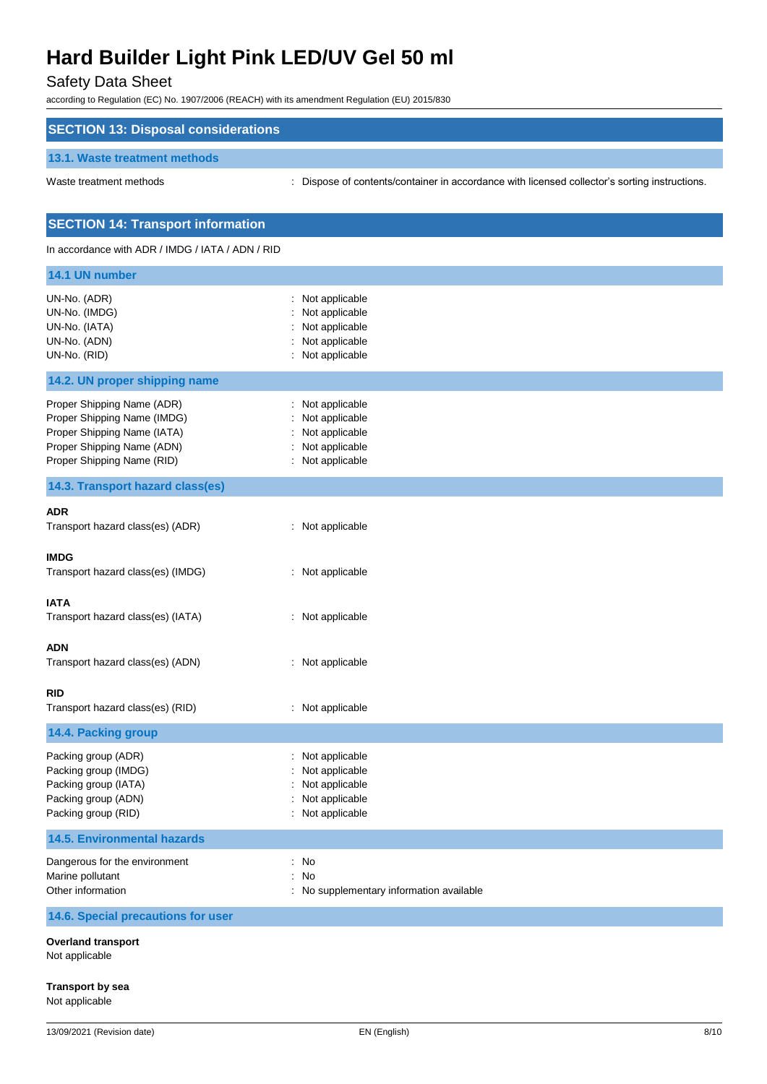## Safety Data Sheet

according to Regulation (EC) No. 1907/2006 (REACH) with its amendment Regulation (EU) 2015/830

| <b>SECTION 13: Disposal considerations</b>                                                                                                           |                                                                                             |
|------------------------------------------------------------------------------------------------------------------------------------------------------|---------------------------------------------------------------------------------------------|
| 13.1. Waste treatment methods                                                                                                                        |                                                                                             |
| Waste treatment methods                                                                                                                              | Dispose of contents/container in accordance with licensed collector's sorting instructions. |
| <b>SECTION 14: Transport information</b>                                                                                                             |                                                                                             |
| In accordance with ADR / IMDG / IATA / ADN / RID                                                                                                     |                                                                                             |
| 14.1 UN number                                                                                                                                       |                                                                                             |
| UN-No. (ADR)<br>UN-No. (IMDG)<br>UN-No. (IATA)<br>UN-No. (ADN)<br>UN-No. (RID)                                                                       | : Not applicable<br>Not applicable<br>Not applicable<br>Not applicable<br>Not applicable    |
| 14.2. UN proper shipping name                                                                                                                        |                                                                                             |
| Proper Shipping Name (ADR)<br>Proper Shipping Name (IMDG)<br>Proper Shipping Name (IATA)<br>Proper Shipping Name (ADN)<br>Proper Shipping Name (RID) | Not applicable<br>Not applicable<br>Not applicable<br>Not applicable<br>: Not applicable    |
| 14.3. Transport hazard class(es)                                                                                                                     |                                                                                             |
| <b>ADR</b><br>Transport hazard class(es) (ADR)                                                                                                       | : Not applicable                                                                            |
| <b>IMDG</b><br>Transport hazard class(es) (IMDG)                                                                                                     | : Not applicable                                                                            |
| <b>IATA</b><br>Transport hazard class(es) (IATA)                                                                                                     | : Not applicable                                                                            |
| <b>ADN</b><br>Transport hazard class(es) (ADN)                                                                                                       | : Not applicable                                                                            |
| <b>RID</b><br>Transport hazard class(es) (RID)                                                                                                       | : Not applicable                                                                            |
| 14.4. Packing group                                                                                                                                  |                                                                                             |
| Packing group (ADR)<br>Packing group (IMDG)<br>Packing group (IATA)<br>Packing group (ADN)<br>Packing group (RID)                                    | Not applicable<br>Not applicable<br>Not applicable<br>Not applicable<br>Not applicable      |
| <b>14.5. Environmental hazards</b>                                                                                                                   |                                                                                             |
| Dangerous for the environment<br>Marine pollutant<br>Other information                                                                               | : No<br>No<br>÷.<br>: No supplementary information available                                |
| 14.6. Special precautions for user                                                                                                                   |                                                                                             |
| <b>Overland transport</b><br>Not applicable                                                                                                          |                                                                                             |

**Transport by sea**

Not applicable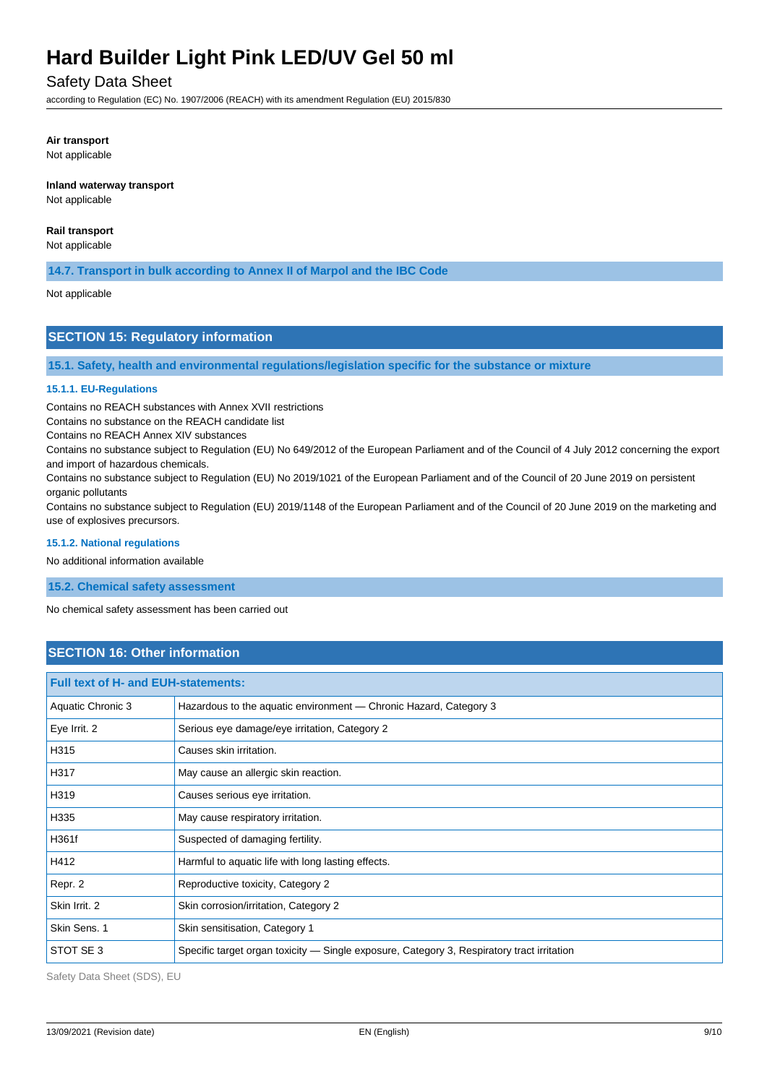## Safety Data Sheet

according to Regulation (EC) No. 1907/2006 (REACH) with its amendment Regulation (EU) 2015/830

## **Air transport**

Not applicable

## **Inland waterway transport**

Not applicable

## **Rail transport**

Not applicable

**14.7. Transport in bulk according to Annex II of Marpol and the IBC Code**

Not applicable

## **SECTION 15: Regulatory information**

**15.1. Safety, health and environmental regulations/legislation specific for the substance or mixture**

### **15.1.1. EU-Regulations**

Contains no REACH substances with Annex XVII restrictions

Contains no substance on the REACH candidate list

Contains no REACH Annex XIV substances

Contains no substance subject to Regulation (EU) No 649/2012 of the European Parliament and of the Council of 4 July 2012 concerning the export and import of hazardous chemicals.

Contains no substance subject to Regulation (EU) No 2019/1021 of the European Parliament and of the Council of 20 June 2019 on persistent organic pollutants

Contains no substance subject to Regulation (EU) 2019/1148 of the European Parliament and of the Council of 20 June 2019 on the marketing and use of explosives precursors.

#### **15.1.2. National regulations**

No additional information available

**15.2. Chemical safety assessment**

No chemical safety assessment has been carried out

## **SECTION 16: Other information**

| <b>Full text of H- and EUH-statements:</b> |                                                                                            |  |
|--------------------------------------------|--------------------------------------------------------------------------------------------|--|
| Aquatic Chronic 3                          | Hazardous to the aquatic environment — Chronic Hazard, Category 3                          |  |
| Eye Irrit. 2                               | Serious eye damage/eye irritation, Category 2                                              |  |
| H315                                       | Causes skin irritation.                                                                    |  |
| H317                                       | May cause an allergic skin reaction.                                                       |  |
| H319                                       | Causes serious eye irritation.                                                             |  |
| H335                                       | May cause respiratory irritation.                                                          |  |
| H361f                                      | Suspected of damaging fertility.                                                           |  |
| H412                                       | Harmful to aquatic life with long lasting effects.                                         |  |
| Repr. 2                                    | Reproductive toxicity, Category 2                                                          |  |
| Skin Irrit, 2                              | Skin corrosion/irritation, Category 2                                                      |  |
| Skin Sens. 1                               | Skin sensitisation, Category 1                                                             |  |
| STOT SE 3                                  | Specific target organ toxicity — Single exposure, Category 3, Respiratory tract irritation |  |

Safety Data Sheet (SDS), EU